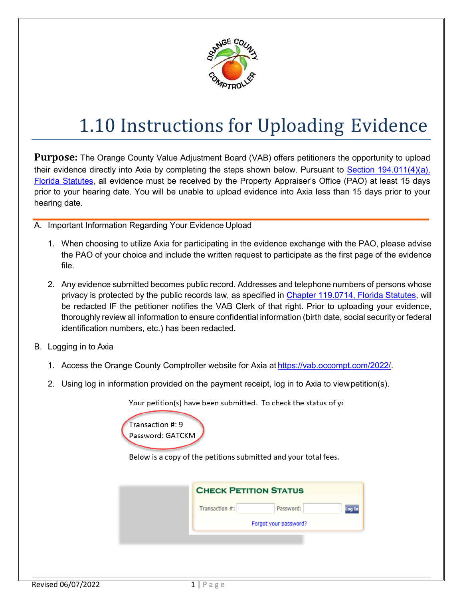

## 1.10 Instructions for Uploading Evidence

**Purpose:** The Orange County Value Adjustment Board (VAB) offers petitioners the opportunity to upload their evidence directly into Axia by completing the steps shown below. Pursuant to [Section 194.011\(4\)\(a\),](http://www.leg.state.fl.us/STATUTES/index.cfm?App_mode=Display_Statute&Search_String=&URL=0100-0199/0194/Sections/0194.011.html)  [Florida Statutes,](http://www.leg.state.fl.us/STATUTES/index.cfm?App_mode=Display_Statute&Search_String=&URL=0100-0199/0194/Sections/0194.011.html) all evidence must be received by the Property Appraiser's Office (PAO) at least 15 days prior to your hearing date. You will be unable to upload evidence into Axia less than 15 days prior to your hearing date.

- A. Important Information Regarding Your Evidence Upload
	- 1. When choosing to utilize Axia for participating in the evidence exchange with the PAO, please advise the PAO of your choice and include the written request to participate as the first page of the evidence file.
	- 2. Any evidence submitted becomes public record. Addresses and telephone numbers of persons whose privacy is protected by the public records law, as specified in [Chapter 119.0714, Florida Statutes,](http://www.leg.state.fl.us/STATUTES/index.cfm?App_mode=Display_Statute&Search_String=&URL=0100-0199/0119/Sections/0119.0714.html) will be redacted IF the petitioner notifies the VAB Clerk of that right. Prior to uploading your evidence, thoroughly review all information to ensure confidential information (birth date, social security or federal identification numbers, etc.) has been redacted.
- B. Logging in to Axia
	- 1. Access the Orange County Comptroller website for Axia at [https://vab.occompt.com/2022/.](https://vab.occompt.com/2022/)
	- 2. Using log in information provided on the payment receipt, log in to Axia to viewpetition(s).

Your petition(s) have been submitted. To check the status of you



Below is a copy of the petitions submitted and your total fees.

| <b>CHECK PETITION STATUS</b> |                       |  |
|------------------------------|-----------------------|--|
| Transaction #:               | Password:<br>Log In   |  |
|                              | Forgot your password? |  |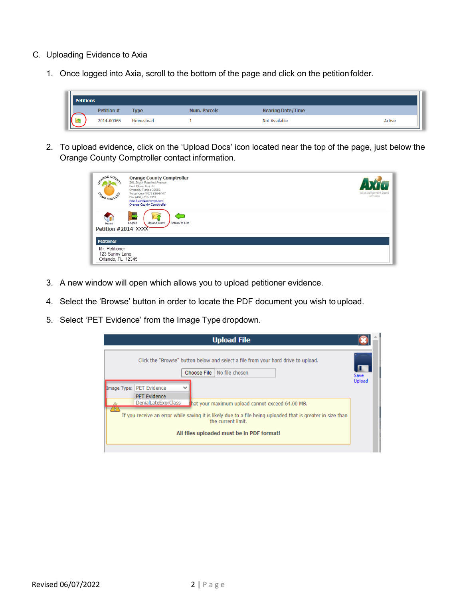## C. Uploading Evidence to Axia

1. Once logged into Axia, scroll to the bottom of the page and click on the petition folder.



2. To upload evidence, click on the 'Upload Docs' icon located near the top of the page, just below the Orange County Comptroller contact information.

| NGE CO<br>COMPTROL                                    | <b>Orange County Comptroller</b><br>201 South Rosalind Avenue<br>Post Office Box 38<br>Orlando, Florida 32802<br>Telephone (407) 836-5447<br>Fax (407) 836-5382<br>Email vab@occompt.com<br><b>Orange County Comptroller</b> | Value Adjustment Board<br>Software |
|-------------------------------------------------------|------------------------------------------------------------------------------------------------------------------------------------------------------------------------------------------------------------------------------|------------------------------------|
| Home<br>Petition #2014-XXXX                           | <b>Upload Docs</b><br>Return to List<br>Logout                                                                                                                                                                               |                                    |
| <b>Petitioner</b>                                     |                                                                                                                                                                                                                              |                                    |
| Mr. Petitioner<br>123 Sunny Lane<br>Orlando, FL 12345 |                                                                                                                                                                                                                              |                                    |

- 3. A new window will open which allows you to upload petitioner evidence.
- 4. Select the 'Browse' button in order to locate the PDF document you wish to upload.
- 5. Select 'PET Evidence' from the Image Type dropdown.

| <b>Upload File</b>                                                                                                                                                                                                                                                                                                                                                                                                                                     |                |
|--------------------------------------------------------------------------------------------------------------------------------------------------------------------------------------------------------------------------------------------------------------------------------------------------------------------------------------------------------------------------------------------------------------------------------------------------------|----------------|
| Click the "Browse" button below and select a file from your hard drive to upload.<br>No file chosen<br>Choose File<br>Image Type: PET Evidence<br>$\checkmark$<br><b>PET Evidence</b><br>DenialLateExorClass<br>hat your maximum upload cannot exceed 64.00 MB.<br>X<br>If you receive an error while saving it is likely due to a file being uploaded that is greater in size than<br>the current limit.<br>All files uploaded must be in PDF format! | Save<br>Upload |